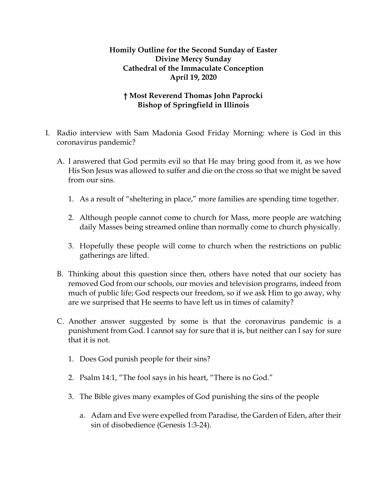## **Homily Outline for the Second Sunday of Easter Divine Mercy Sunday Cathedral of the Immaculate Conception April 19, 2020**

## **† Most Reverend Thomas John Paprocki Bishop of Springfield in Illinois**

- I. Radio interview with Sam Madonia Good Friday Morning: where is God in this coronavirus pandemic?
	- A. I answered that God permits evil so that He may bring good from it, as we how His Son Jesus was allowed to suffer and die on the cross so that we might be saved from our sins.
		- 1. As a result of "sheltering in place," more families are spending time together.
		- 2. Although people cannot come to church for Mass, more people are watching daily Masses being streamed online than normally come to church physically.
		- 3. Hopefully these people will come to church when the restrictions on public gatherings are lifted.
	- B. Thinking about this question since then, others have noted that our society has removed God from our schools, our movies and television programs, indeed from much of public life; God respects our freedom, so if we ask Him to go away, why are we surprised that He seems to have left us in times of calamity?
	- C. Another answer suggested by some is that the coronavirus pandemic is a punishment from God. I cannot say for sure that it is, but neither can I say for sure that it is not.
		- 1. Does God punish people for their sins?
		- 2. Psalm 14:1, "The fool says in his heart, "There is no God."
		- 3. The Bible gives many examples of God punishing the sins of the people
			- a. Adam and Eve were expelled from Paradise, the Garden of Eden, after their sin of disobedience (Genesis 1:3-24).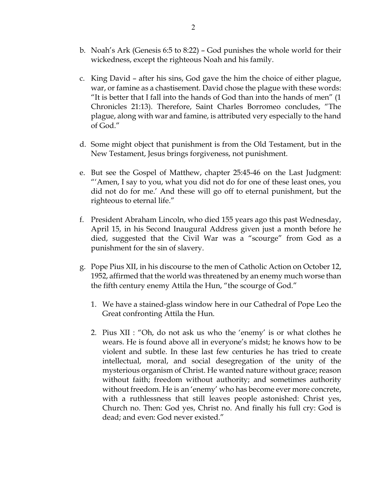- b. Noah's Ark (Genesis 6:5 to 8:22) God punishes the whole world for their wickedness, except the righteous Noah and his family.
- c. King David after his sins, God gave the him the choice of either plague, war, or famine as a chastisement. David chose the plague with these words: "It is better that I fall into the hands of God than into the hands of men" (1 Chronicles 21:13). Therefore, Saint Charles Borromeo concludes, "The plague, along with war and famine, is attributed very especially to the hand of God."
- d. Some might object that punishment is from the Old Testament, but in the New Testament, Jesus brings forgiveness, not punishment.
- e. But see the Gospel of Matthew, chapter 25:45-46 on the Last Judgment: "'Amen, I say to you, what you did not do for one of these least ones, you did not do for me.' And these will go off to eternal punishment, but the righteous to eternal life."
- f. President Abraham Lincoln, who died 155 years ago this past Wednesday, April 15, in his Second Inaugural Address given just a month before he died, suggested that the Civil War was a "scourge" from God as a punishment for the sin of slavery.
- g. Pope Pius XII, in his discourse to the men of Catholic Action on October 12, 1952, affirmed that the world was threatened by an enemy much worse than the fifth century enemy Attila the Hun, "the scourge of God."
	- 1. We have a stained-glass window here in our Cathedral of Pope Leo the Great confronting Attila the Hun.
	- 2. Pius XII : "Oh, do not ask us who the 'enemy' is or what clothes he wears. He is found above all in everyone's midst; he knows how to be violent and subtle. In these last few centuries he has tried to create intellectual, moral, and social desegregation of the unity of the mysterious organism of Christ. He wanted nature without grace; reason without faith; freedom without authority; and sometimes authority without freedom. He is an 'enemy' who has become ever more concrete, with a ruthlessness that still leaves people astonished: Christ yes, Church no. Then: God yes, Christ no. And finally his full cry: God is dead; and even: God never existed."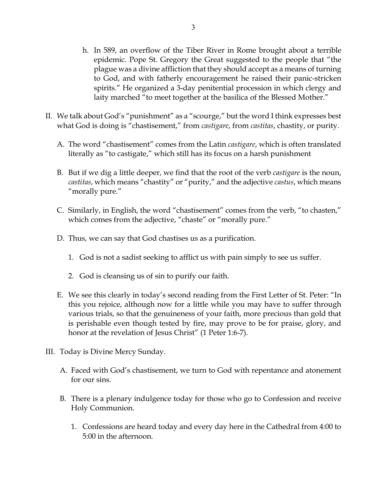- h. In 589, an overflow of the Tiber River in Rome brought about a terrible epidemic. Pope St. Gregory the Great suggested to the people that "the plague was a divine affliction that they should accept as a means of turning to God, and with fatherly encouragement he raised their panic-stricken spirits." He organized a 3-day penitential procession in which clergy and laity marched "to meet together at the basilica of the Blessed Mother."
- II. We talk about God's "punishment" as a "scourge," but the word I think expresses best what God is doing is "chastisement," from *castigare*, from *castitas*, chastity, or purity.
	- A. The word "chastisement" comes from the Latin *castigare*, which is often translated literally as "to castigate," which still has its focus on a harsh punishment
	- B. But if we dig a little deeper, we find that the root of the verb *castigare* is the noun, *castitas*, which means "chastity" or "purity," and the adjective *castus*, which means "morally pure."
	- C. Similarly, in English, the word "chastisement" comes from the verb, "to chasten," which comes from the adjective, "chaste" or "morally pure."
	- D. Thus, we can say that God chastises us as a purification.
		- 1. God is not a sadist seeking to afflict us with pain simply to see us suffer.
		- 2. God is cleansing us of sin to purify our faith.
	- E. We see this clearly in today's second reading from the First Letter of St. Peter: "In this you rejoice, although now for a little while you may have to suffer through various trials, so that the genuineness of your faith, more precious than gold that is perishable even though tested by fire, may prove to be for praise, glory, and honor at the revelation of Jesus Christ" (1 Peter 1:6-7).
- III. Today is Divine Mercy Sunday.
	- A. Faced with God's chastisement, we turn to God with repentance and atonement for our sins.
	- B. There is a plenary indulgence today for those who go to Confession and receive Holy Communion.
		- 1. Confessions are heard today and every day here in the Cathedral from 4:00 to 5:00 in the afternoon.